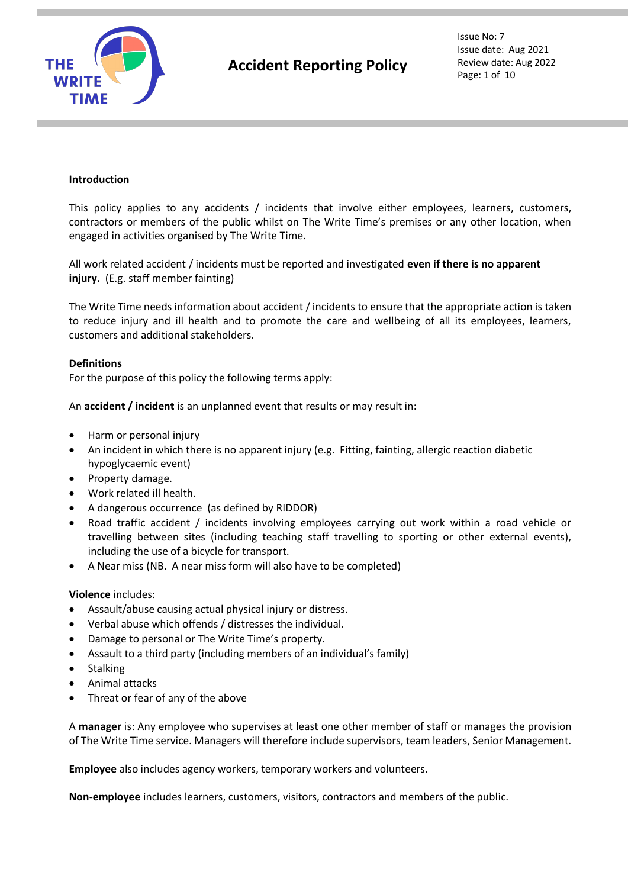

# **Introduction**

This policy applies to any accidents / incidents that involve either employees, learners, customers, contractors or members of the public whilst on The Write Time's premises or any other location, when engaged in activities organised by The Write Time.

All work related accident / incidents must be reported and investigated **even if there is no apparent injury.** (E.g. staff member fainting)

The Write Time needs information about accident / incidents to ensure that the appropriate action is taken to reduce injury and ill health and to promote the care and wellbeing of all its employees, learners, customers and additional stakeholders.

#### **Definitions**

For the purpose of this policy the following terms apply:

An **accident / incident** is an unplanned event that results or may result in:

- Harm or personal injury
- An incident in which there is no apparent injury (e.g. Fitting, fainting, allergic reaction diabetic hypoglycaemic event)
- Property damage.
- Work related ill health.
- A dangerous occurrence (as defined by RIDDOR)
- Road traffic accident / incidents involving employees carrying out work within a road vehicle or travelling between sites (including teaching staff travelling to sporting or other external events), including the use of a bicycle for transport.
- A Near miss (NB. A near miss form will also have to be completed)

#### **Violence** includes:

- Assault/abuse causing actual physical injury or distress.
- Verbal abuse which offends / distresses the individual.
- Damage to personal or The Write Time's property.
- Assault to a third party (including members of an individual's family)
- **Stalking**
- Animal attacks
- Threat or fear of any of the above

A **manager** is: Any employee who supervises at least one other member of staff or manages the provision of The Write Time service. Managers will therefore include supervisors, team leaders, Senior Management.

**Employee** also includes agency workers, temporary workers and volunteers.

**Non-employee** includes learners, customers, visitors, contractors and members of the public.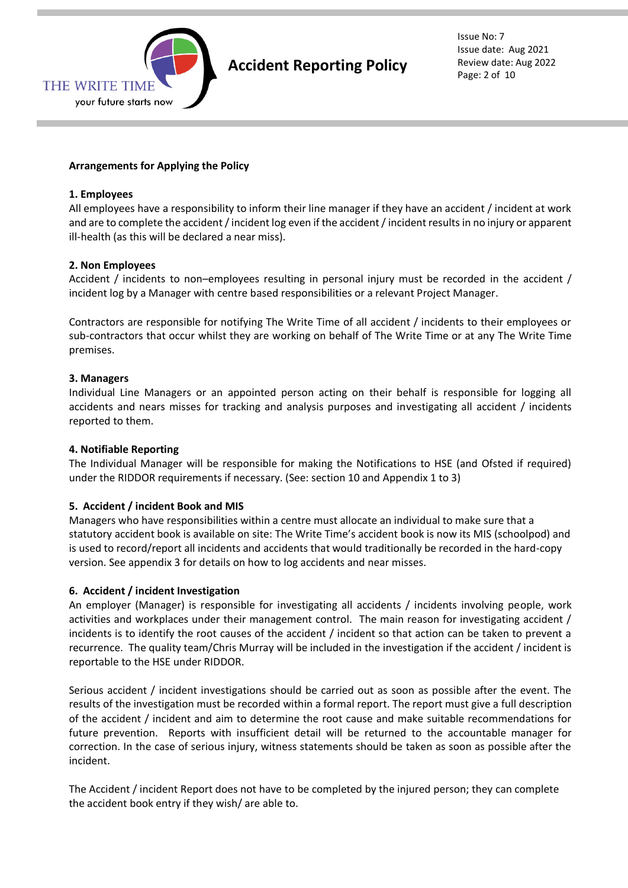

Issue No: 7 Issue date: Aug 2021 Review date: Aug 2022 Page: 2 of 10

# **Arrangements for Applying the Policy**

# **1. Employees**

All employees have a responsibility to inform their line manager if they have an accident / incident at work and are to complete the accident / incident log even if the accident / incident results in no injury or apparent ill-health (as this will be declared a near miss).

# **2. Non Employees**

Accident / incidents to non–employees resulting in personal injury must be recorded in the accident / incident log by a Manager with centre based responsibilities or a relevant Project Manager.

Contractors are responsible for notifying The Write Time of all accident / incidents to their employees or sub-contractors that occur whilst they are working on behalf of The Write Time or at any The Write Time premises.

# **3. Managers**

Individual Line Managers or an appointed person acting on their behalf is responsible for logging all accidents and nears misses for tracking and analysis purposes and investigating all accident / incidents reported to them.

#### **4. Notifiable Reporting**

The Individual Manager will be responsible for making the Notifications to HSE (and Ofsted if required) under the RIDDOR requirements if necessary. (See: section 10 and Appendix 1 to 3)

#### **5. Accident / incident Book and MIS**

Managers who have responsibilities within a centre must allocate an individual to make sure that a statutory accident book is available on site: The Write Time's accident book is now its MIS (schoolpod) and is used to record/report all incidents and accidents that would traditionally be recorded in the hard-copy version. See appendix 3 for details on how to log accidents and near misses.

#### **6. Accident / incident Investigation**

An employer (Manager) is responsible for investigating all accidents / incidents involving people, work activities and workplaces under their management control. The main reason for investigating accident / incidents is to identify the root causes of the accident / incident so that action can be taken to prevent a recurrence. The quality team/Chris Murray will be included in the investigation if the accident / incident is reportable to the HSE under RIDDOR.

Serious accident / incident investigations should be carried out as soon as possible after the event. The results of the investigation must be recorded within a formal report. The report must give a full description of the accident / incident and aim to determine the root cause and make suitable recommendations for future prevention. Reports with insufficient detail will be returned to the accountable manager for correction. In the case of serious injury, witness statements should be taken as soon as possible after the incident.

The Accident / incident Report does not have to be completed by the injured person; they can complete the accident book entry if they wish/ are able to.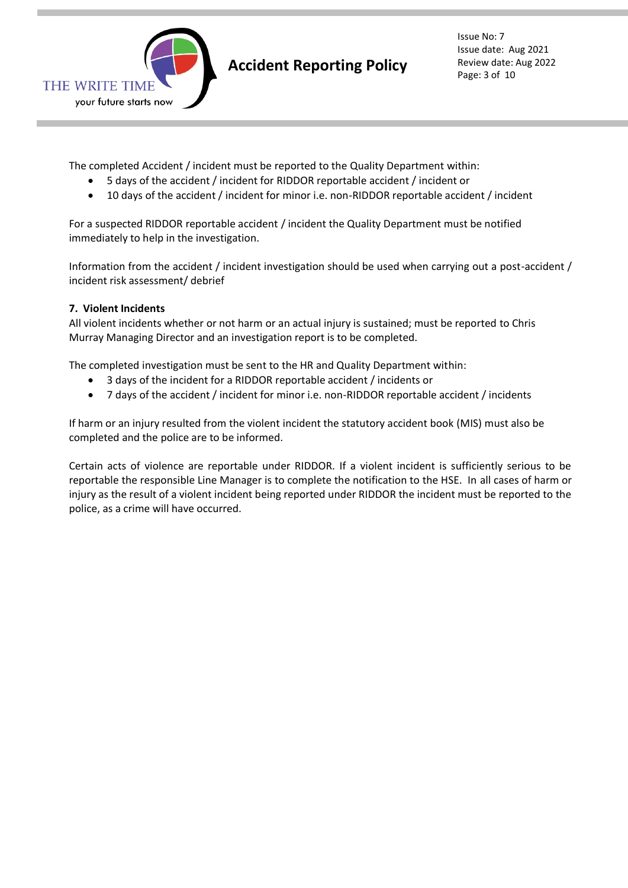

Issue No: 7 Issue date: Aug 2021 Review date: Aug 2022 Page: 3 of 10

The completed Accident / incident must be reported to the Quality Department within:

- 5 days of the accident / incident for RIDDOR reportable accident / incident or
- 10 days of the accident / incident for minor i.e. non-RIDDOR reportable accident / incident

For a suspected RIDDOR reportable accident / incident the Quality Department must be notified immediately to help in the investigation.

Information from the accident / incident investigation should be used when carrying out a post-accident / incident risk assessment/ debrief

# **7. Violent Incidents**

All violent incidents whether or not harm or an actual injury is sustained; must be reported to Chris Murray Managing Director and an investigation report is to be completed.

The completed investigation must be sent to the HR and Quality Department within:

- 3 days of the incident for a RIDDOR reportable accident / incidents or
- 7 days of the accident / incident for minor i.e. non-RIDDOR reportable accident / incidents

If harm or an injury resulted from the violent incident the statutory accident book (MIS) must also be completed and the police are to be informed.

Certain acts of violence are reportable under RIDDOR. If a violent incident is sufficiently serious to be reportable the responsible Line Manager is to complete the notification to the HSE. In all cases of harm or injury as the result of a violent incident being reported under RIDDOR the incident must be reported to the police, as a crime will have occurred.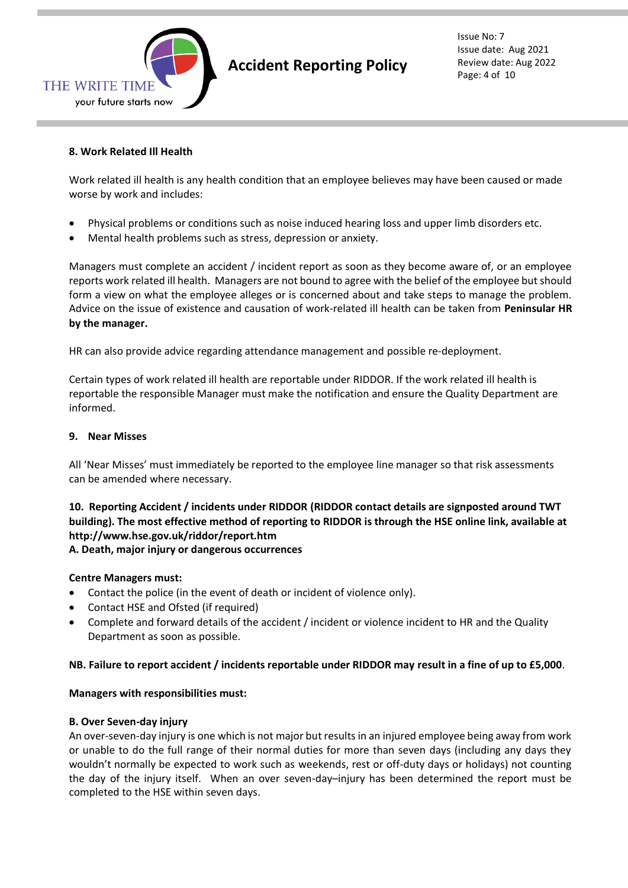

# **Accident Reporting Policy**

Issue No: 7 Issue date: Aug 2021 Review date: Aug 2022 Page: 4 of 10

# **8. Work Related Ill Health**

Work related ill health is any health condition that an employee believes may have been caused or made worse by work and includes:

- Physical problems or conditions such as noise induced hearing loss and upper limb disorders etc.
- Mental health problems such as stress, depression or anxiety.

Managers must complete an accident / incident report as soon as they become aware of, or an employee reports work related ill health. Managers are not bound to agree with the belief of the employee but should form a view on what the employee alleges or is concerned about and take steps to manage the problem. Advice on the issue of existence and causation of work-related ill health can be taken from **Peninsular HR by the manager.**

HR can also provide advice regarding attendance management and possible re-deployment.

Certain types of work related ill health are reportable under RIDDOR. If the work related ill health is reportable the responsible Manager must make the notification and ensure the Quality Department are informed.

#### **9. Near Misses**

All 'Near Misses' must immediately be reported to the employee line manager so that risk assessments can be amended where necessary.

# **10. Reporting Accident / incidents under RIDDOR (RIDDOR contact details are signposted around TWT building). The most effective method of reporting to RIDDOR is through the HSE online link, available at http://www.hse.gov.uk/riddor/report.htm**

**A. Death, major injury or dangerous occurrences**

# **Centre Managers must:**

- Contact the police (in the event of death or incident of violence only).
- Contact HSE and Ofsted (if required)
- Complete and forward details of the accident / incident or violence incident to HR and the Quality Department as soon as possible.

# **NB. Failure to report accident / incidents reportable under RIDDOR may result in a fine of up to £5,000**.

#### **Managers with responsibilities must:**

#### **B. Over Seven-day injury**

An over-seven-day injury is one which is not major but results in an injured employee being away from work or unable to do the full range of their normal duties for more than seven days (including any days they wouldn't normally be expected to work such as weekends, rest or off-duty days or holidays) not counting the day of the injury itself. When an over seven-day–injury has been determined the report must be completed to the HSE within seven days.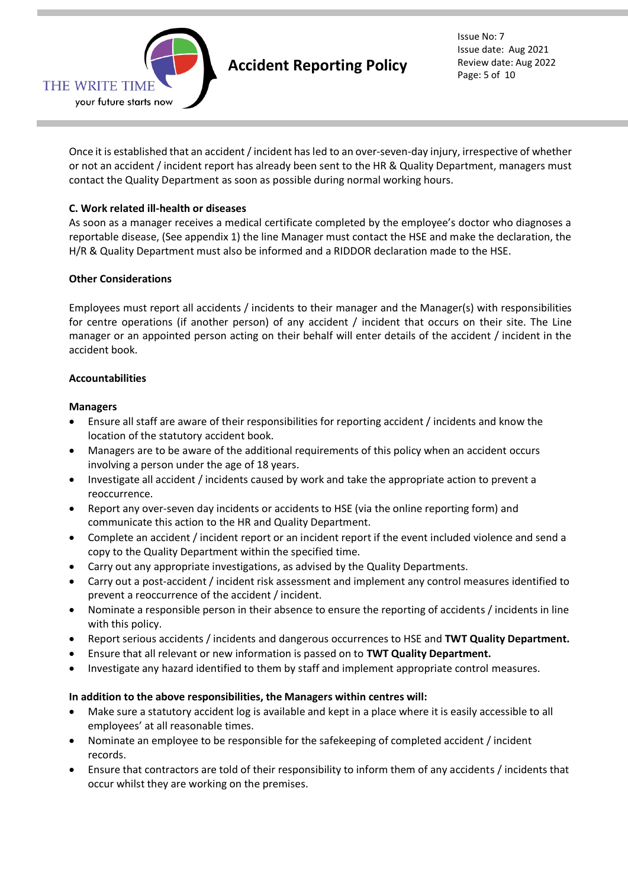

Once it is established that an accident / incident has led to an over-seven-day injury, irrespective of whether or not an accident / incident report has already been sent to the HR & Quality Department, managers must contact the Quality Department as soon as possible during normal working hours.

# **C. Work related ill-health or diseases**

As soon as a manager receives a medical certificate completed by the employee's doctor who diagnoses a reportable disease, (See appendix 1) the line Manager must contact the HSE and make the declaration, the H/R & Quality Department must also be informed and a RIDDOR declaration made to the HSE.

# **Other Considerations**

Employees must report all accidents / incidents to their manager and the Manager(s) with responsibilities for centre operations (if another person) of any accident / incident that occurs on their site. The Line manager or an appointed person acting on their behalf will enter details of the accident / incident in the accident book.

#### **Accountabilities**

#### **Managers**

- Ensure all staff are aware of their responsibilities for reporting accident / incidents and know the location of the statutory accident book.
- Managers are to be aware of the additional requirements of this policy when an accident occurs involving a person under the age of 18 years.
- Investigate all accident / incidents caused by work and take the appropriate action to prevent a reoccurrence.
- Report any over-seven day incidents or accidents to HSE (via the online reporting form) and communicate this action to the HR and Quality Department.
- Complete an accident / incident report or an incident report if the event included violence and send a copy to the Quality Department within the specified time.
- Carry out any appropriate investigations, as advised by the Quality Departments.
- Carry out a post-accident / incident risk assessment and implement any control measures identified to prevent a reoccurrence of the accident / incident.
- Nominate a responsible person in their absence to ensure the reporting of accidents / incidents in line with this policy.
- Report serious accidents / incidents and dangerous occurrences to HSE and **TWT Quality Department.**
- Ensure that all relevant or new information is passed on to **TWT Quality Department.**
- Investigate any hazard identified to them by staff and implement appropriate control measures.

#### **In addition to the above responsibilities, the Managers within centres will:**

- Make sure a statutory accident log is available and kept in a place where it is easily accessible to all employees' at all reasonable times.
- Nominate an employee to be responsible for the safekeeping of completed accident / incident records.
- Ensure that contractors are told of their responsibility to inform them of any accidents / incidents that occur whilst they are working on the premises.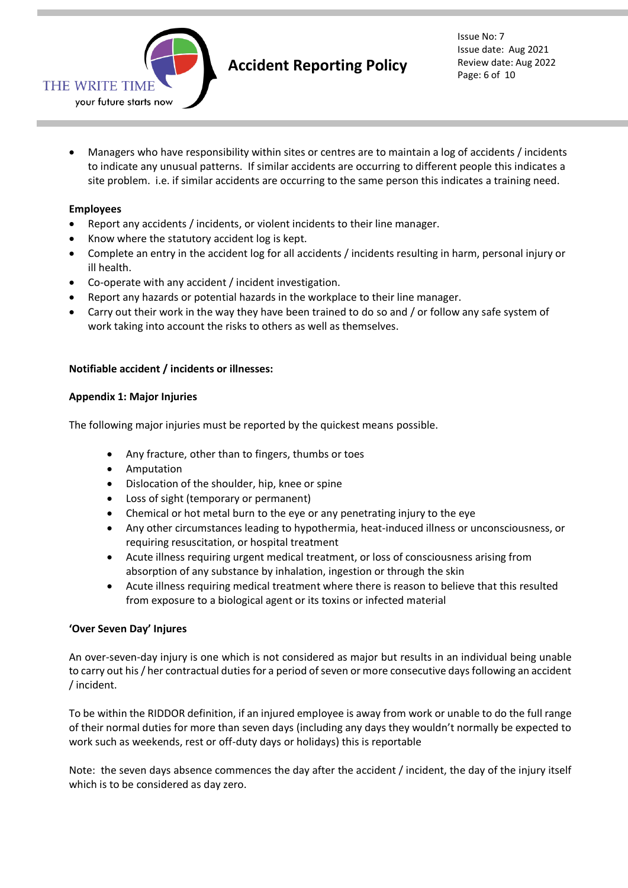

• Managers who have responsibility within sites or centres are to maintain a log of accidents / incidents to indicate any unusual patterns. If similar accidents are occurring to different people this indicates a site problem. i.e. if similar accidents are occurring to the same person this indicates a training need.

# **Employees**

- Report any accidents / incidents, or violent incidents to their line manager.
- Know where the statutory accident log is kept.
- Complete an entry in the accident log for all accidents / incidents resulting in harm, personal injury or ill health.
- Co-operate with any accident / incident investigation.
- Report any hazards or potential hazards in the workplace to their line manager.
- Carry out their work in the way they have been trained to do so and / or follow any safe system of work taking into account the risks to others as well as themselves.

#### **Notifiable accident / incidents or illnesses:**

#### **Appendix 1: Major Injuries**

The following major injuries must be reported by the quickest means possible.

- Any fracture, other than to fingers, thumbs or toes
- Amputation
- Dislocation of the shoulder, hip, knee or spine
- Loss of sight (temporary or permanent)
- Chemical or hot metal burn to the eye or any penetrating injury to the eye
- Any other circumstances leading to hypothermia, heat-induced illness or unconsciousness, or requiring resuscitation, or hospital treatment
- Acute illness requiring urgent medical treatment, or loss of consciousness arising from absorption of any substance by inhalation, ingestion or through the skin
- Acute illness requiring medical treatment where there is reason to believe that this resulted from exposure to a biological agent or its toxins or infected material

#### **'Over Seven Day' Injures**

An over-seven-day injury is one which is not considered as major but results in an individual being unable to carry out his / her contractual duties for a period of seven or more consecutive days following an accident / incident.

To be within the RIDDOR definition, if an injured employee is away from work or unable to do the full range of their normal duties for more than seven days (including any days they wouldn't normally be expected to work such as weekends, rest or off-duty days or holidays) this is reportable

Note: the seven days absence commences the day after the accident / incident, the day of the injury itself which is to be considered as day zero.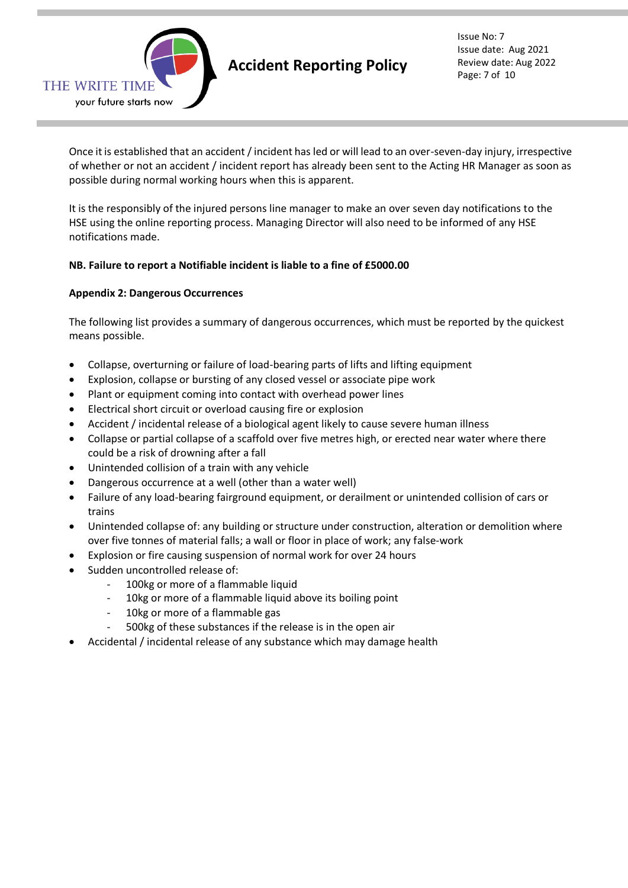

# **Accident Reporting Policy**

Issue No: 7 Issue date: Aug 2021 Review date: Aug 2022 Page: 7 of 10

Once it is established that an accident / incident has led or will lead to an over-seven-day injury, irrespective of whether or not an accident / incident report has already been sent to the Acting HR Manager as soon as possible during normal working hours when this is apparent.

It is the responsibly of the injured persons line manager to make an over seven day notifications to the HSE using the online reporting process. Managing Director will also need to be informed of any HSE notifications made.

# **NB. Failure to report a Notifiable incident is liable to a fine of £5000.00**

# **Appendix 2: Dangerous Occurrences**

The following list provides a summary of dangerous occurrences, which must be reported by the quickest means possible.

- Collapse, overturning or failure of load-bearing parts of lifts and lifting equipment
- Explosion, collapse or bursting of any closed vessel or associate pipe work
- Plant or equipment coming into contact with overhead power lines
- Electrical short circuit or overload causing fire or explosion
- Accident / incidental release of a biological agent likely to cause severe human illness
- Collapse or partial collapse of a scaffold over five metres high, or erected near water where there could be a risk of drowning after a fall
- Unintended collision of a train with any vehicle
- Dangerous occurrence at a well (other than a water well)
- Failure of any load-bearing fairground equipment, or derailment or unintended collision of cars or trains
- Unintended collapse of: any building or structure under construction, alteration or demolition where over five tonnes of material falls; a wall or floor in place of work; any false-work
- Explosion or fire causing suspension of normal work for over 24 hours
- Sudden uncontrolled release of:
	- 100kg or more of a flammable liquid
	- 10kg or more of a flammable liquid above its boiling point
	- 10kg or more of a flammable gas
	- 500kg of these substances if the release is in the open air
- Accidental / incidental release of any substance which may damage health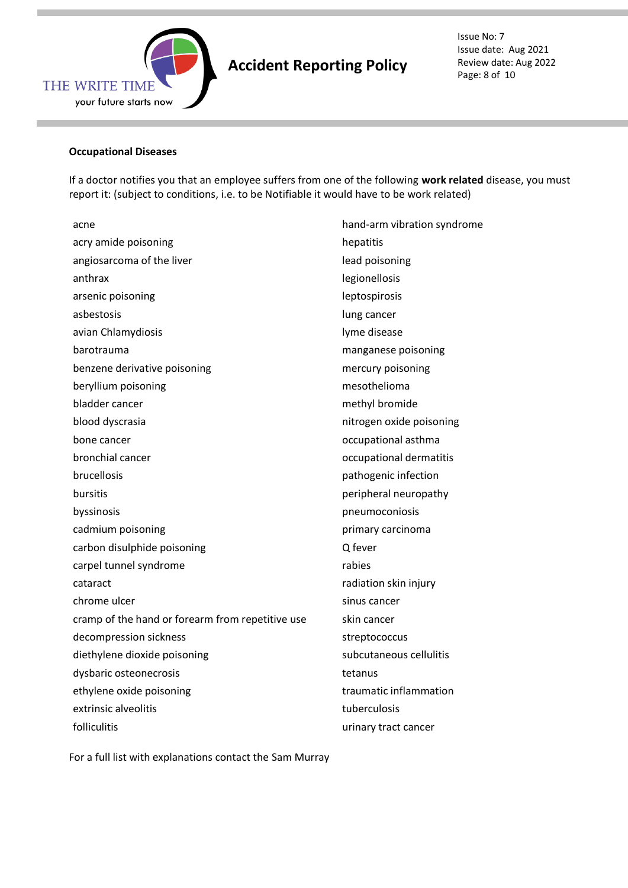

# **Accident Reporting Policy**

Issue No: 7 Issue date: Aug 2021 Review date: Aug 2022 Page: 8 of 10

#### **Occupational Diseases**

If a doctor notifies you that an employee suffers from one of the following **work related** disease, you must report it: (subject to conditions, i.e. to be Notifiable it would have to be work related)

acne hand-arm vibration syndrome acry amide poisoning hepatitis hepatitis angiosarcoma of the liver lead poisoning anthrax anthrax anthrax anthrax anthrax anthrax anthrax anthrax anthrax anthrax anthrax anthrax anthrax anthrax arsenic poisoning leptospirosis asbestosis and a lung cancer and a lung cancer but with the lung cancer and a lung cancer avian Chlamydiosis and a series of the lyme disease barotrauma manganese poisoning benzene derivative poisoning mercury poisoning mercury poisoning beryllium poisoning mesothelioma bladder cancer methyl bromide blood dyscrasia nitrogen oxide poisoning bone cancer **bone** cancer **occupational** asthma bronchial cancer **bronchial cancer bronchial cancer occupational dermatitis** brucellosis **pathogenic infection** bursitis **bursitis bursitis peripheral neuropathy** byssinosis pneumoconiosis cadmium poisoning primary carcinoma carbon disulphide poisoning and a carbon disulphide poisoning carpel tunnel syndrome rabies rabies cataract cataract cataract cataract cataract cataract cataractive methods are radiation skin injury chrome ulcer sinus cancer sinus cancer cramp of the hand or forearm from repetitive use skin cancer decompression sickness streptococcus diethylene dioxide poisoning subcutaneous cellulitis dysbaric osteonecrosis tetanus ethylene oxide poisoning example of the traumatic inflammation extrinsic alveolitis and tuberculosis tuberculosis folliculitis **and the contract of the contract cancer** contract cancer contract cancer

For a full list with explanations contact the Sam Murray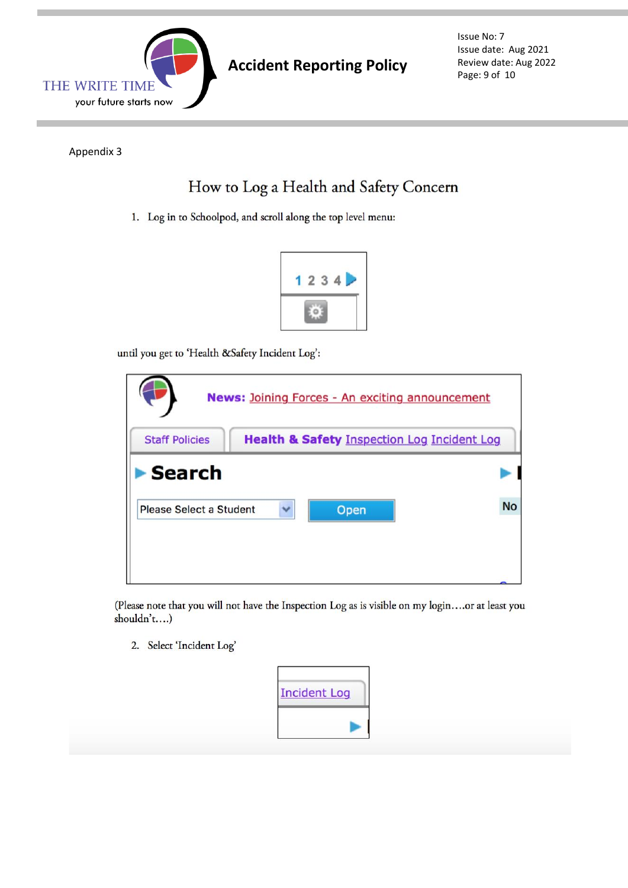

Issue No: 7 Issue date: Aug 2021 Review date: Aug 2022 Page: 9 of 10

Appendix 3

# How to Log a Health and Safety Concern

1. Log in to Schoolpod, and scroll along the top level menu:



until you get to 'Health &Safety Incident Log':

| <b>News: Joining Forces - An exciting announcement</b>                          |           |  |  |  |
|---------------------------------------------------------------------------------|-----------|--|--|--|
| <b>Health &amp; Safety Inspection Log Incident Log</b><br><b>Staff Policies</b> |           |  |  |  |
| Search                                                                          |           |  |  |  |
| Please Select a Student<br>Open                                                 | <b>No</b> |  |  |  |
|                                                                                 |           |  |  |  |
|                                                                                 |           |  |  |  |

(Please note that you will not have the Inspection Log as is visible on my login....or at least you shouldn't....)

2. Select 'Incident Log'